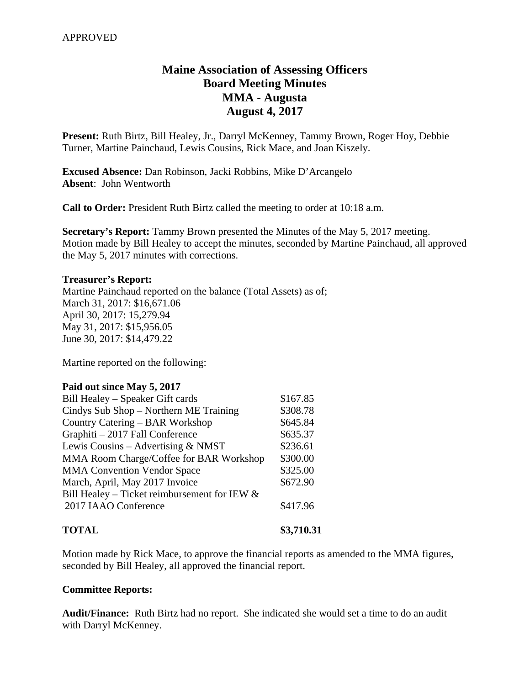# **Maine Association of Assessing Officers Board Meeting Minutes MMA - Augusta August 4, 2017**

**Present:** Ruth Birtz, Bill Healey, Jr., Darryl McKenney, Tammy Brown, Roger Hoy, Debbie Turner, Martine Painchaud, Lewis Cousins, Rick Mace, and Joan Kiszely.

**Excused Absence:** Dan Robinson, Jacki Robbins, Mike D'Arcangelo **Absent**: John Wentworth

**Call to Order:** President Ruth Birtz called the meeting to order at 10:18 a.m.

**Secretary's Report:** Tammy Brown presented the Minutes of the May 5, 2017 meeting. Motion made by Bill Healey to accept the minutes, seconded by Martine Painchaud, all approved the May 5, 2017 minutes with corrections.

#### **Treasurer's Report:**

Martine Painchaud reported on the balance (Total Assets) as of; March 31, 2017: \$16,671.06 April 30, 2017: 15,279.94 May 31, 2017: \$15,956.05 June 30, 2017: \$14,479.22

Martine reported on the following:

#### **Paid out since May 5, 2017**

| Bill Healey – Speaker Gift cards                | \$167.85 |
|-------------------------------------------------|----------|
| Cindys Sub Shop – Northern ME Training          | \$308.78 |
| Country Catering – BAR Workshop                 | \$645.84 |
| Graphiti - 2017 Fall Conference                 | \$635.37 |
| Lewis Cousins – Advertising $& NMST$            | \$236.61 |
| MMA Room Charge/Coffee for BAR Workshop         | \$300.00 |
| <b>MMA Convention Vendor Space</b>              | \$325.00 |
| March, April, May 2017 Invoice                  | \$672.90 |
| Bill Healey – Ticket reimbursement for IEW $\&$ |          |
| 2017 IAAO Conference                            | \$417.96 |
|                                                 |          |

# **TOTAL \$3,710.31**

Motion made by Rick Mace, to approve the financial reports as amended to the MMA figures, seconded by Bill Healey, all approved the financial report.

## **Committee Reports:**

**Audit/Finance:** Ruth Birtz had no report. She indicated she would set a time to do an audit with Darryl McKenney.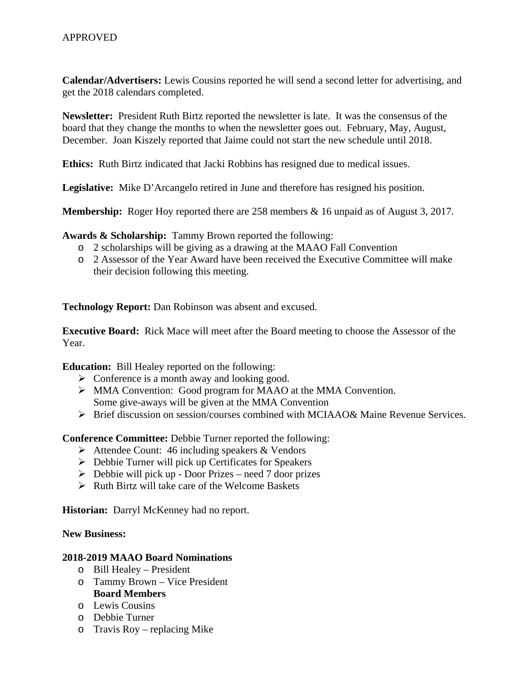**Calendar/Advertisers:** Lewis Cousins reported he will send a second letter for advertising, and get the 2018 calendars completed.

**Newsletter:** President Ruth Birtz reported the newsletter is late. It was the consensus of the board that they change the months to when the newsletter goes out. February, May, August, December. Joan Kiszely reported that Jaime could not start the new schedule until 2018.

**Ethics:** Ruth Birtz indicated that Jacki Robbins has resigned due to medical issues.

**Legislative:** Mike D'Arcangelo retired in June and therefore has resigned his position.

**Membership:** Roger Hoy reported there are 258 members & 16 unpaid as of August 3, 2017.

**Awards & Scholarship:** Tammy Brown reported the following:

- o 2 scholarships will be giving as a drawing at the MAAO Fall Convention
- o 2 Assessor of the Year Award have been received the Executive Committee will make their decision following this meeting.

**Technology Report:** Dan Robinson was absent and excused.

**Executive Board:** Rick Mace will meet after the Board meeting to choose the Assessor of the Year.

**Education:** Bill Healey reported on the following:

- $\triangleright$  Conference is a month away and looking good.
- MMA Convention: Good program for MAAO at the MMA Convention. Some give-aways will be given at the MMA Convention
- $\triangleright$  Brief discussion on session/courses combined with MCIAAO& Maine Revenue Services.

**Conference Committee:** Debbie Turner reported the following:

- Attendee Count: 46 including speakers & Vendors
- $\triangleright$  Debbie Turner will pick up Certificates for Speakers
- $\triangleright$  Debbie will pick up Door Prizes need 7 door prizes
- $\triangleright$  Ruth Birtz will take care of the Welcome Baskets

**Historian:** Darryl McKenney had no report.

# **New Business:**

## **2018-2019 MAAO Board Nominations**

- o Bill Healey President
- o Tammy Brown Vice President **Board Members**
- o Lewis Cousins
- o Debbie Turner
- o Travis Roy replacing Mike